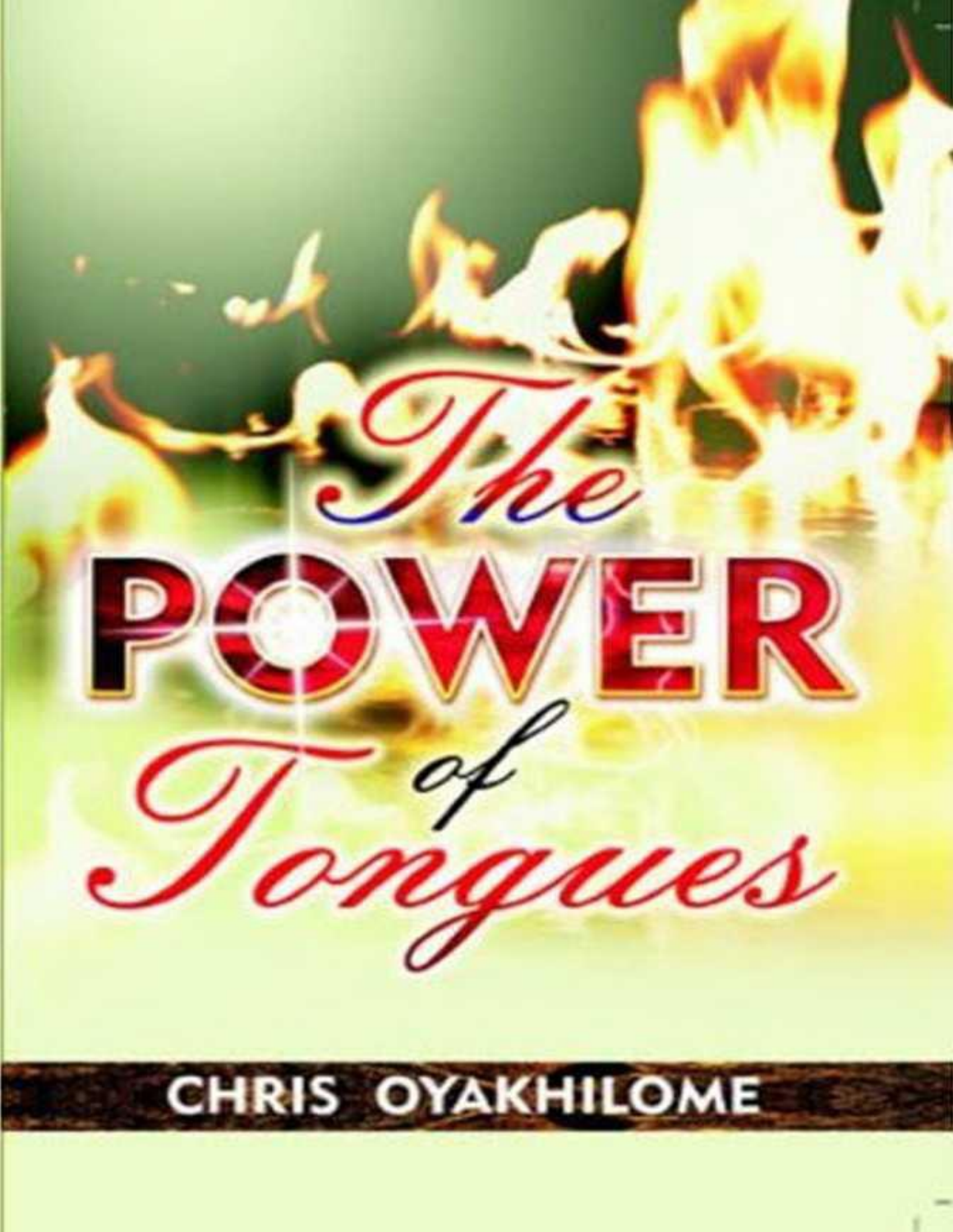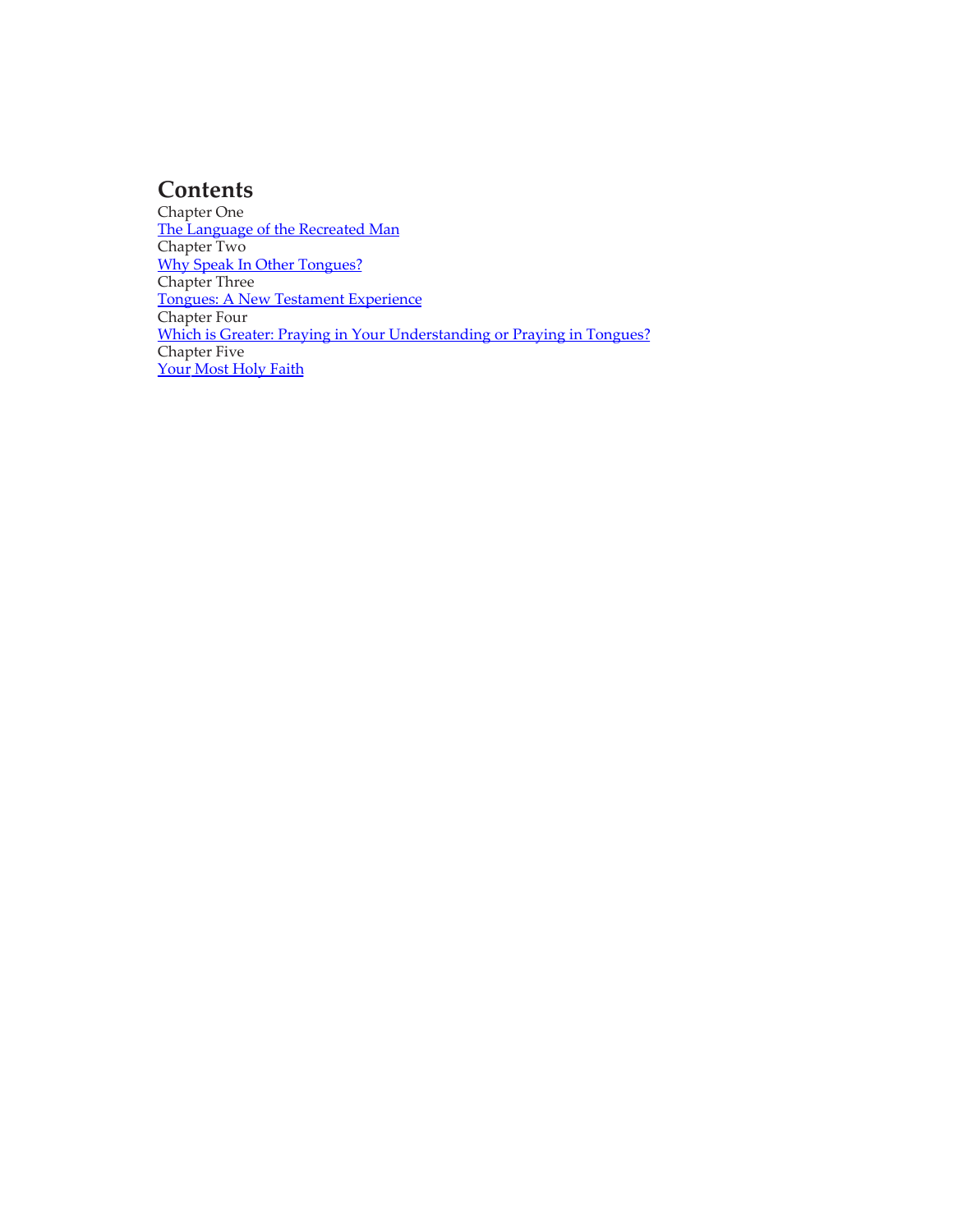#### **Contents**

Chapter One The [Language](#page-2-0) of the Recreated Man Chapter Two Why Speak In Other [Tongues?](#page-5-0) Chapter Three Tongues: A New Testament [Experience](#page-8-0) Chapter Four Which is Greater: Praying in Your [Understanding](#page-10-0) or Praying in Tongues? Chapter Five Your Most Holy [Faith](#page-14-0)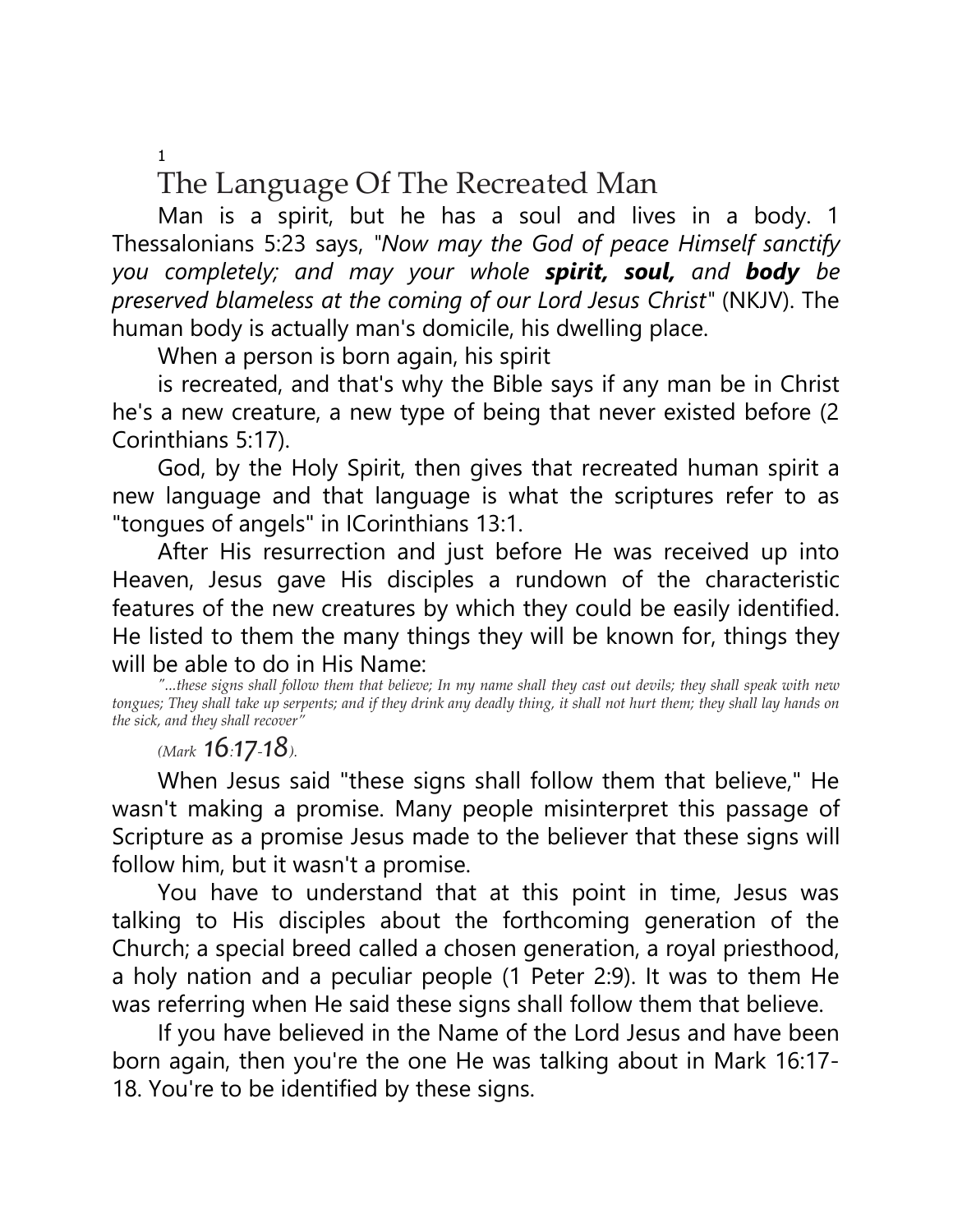# The Language Of The Recreated Man

<span id="page-2-0"></span>Man is a spirit, but he has a soul and lives in a body. 1 Thessalonians 5:23 says, *"Now may the God of peace Himself sanctify you completely; and may your whole spirit, soul, and body be preserved blameless at the coming of our Lord Jesus Christ"* (NKJV). The human body is actually man's domicile, his dwelling place.

When a person is born again, his spirit

is recreated, and that's why the Bible says if any man be in Christ he's a new creature, a new type of being that never existed before (2 Corinthians 5:17).

God, by the Holy Spirit, then gives that recreated human spirit a new language and that language is what the scriptures refer to as "tongues of angels" in ICorinthians 13:1.

After His resurrection and just before He was received up into Heaven, Jesus gave His disciples a rundown of the characteristic features of the new creatures by which they could be easily identified. He listed to them the many things they will be known for, things they will be able to do in His Name:

"...these signs shall follow them that believe; In my name shall they cast out devils; they shall speak with new tongues; They shall take up serpents; and if they drink any deadly thing, it shall not hurt them; they shall lay hands on *the sick, and they shall recover"*

*(Mark 16:17-18).*

When Jesus said "these signs shall follow them that believe," He wasn't making a promise. Many people misinterpret this passage of Scripture as a promise Jesus made to the believer that these signs will follow him, but it wasn't a promise.

You have to understand that at this point in time, Jesus was talking to His disciples about the forthcoming generation of the Church; a special breed called a chosen generation, a royal priesthood, a holy nation and a peculiar people (1 Peter 2:9). It was to them He was referring when He said these signs shall follow them that believe.

If you have believed in the Name of the Lord Jesus and have been born again, then you're the one He was talking about in Mark 16:17- 18. You're to be identified by these signs.

1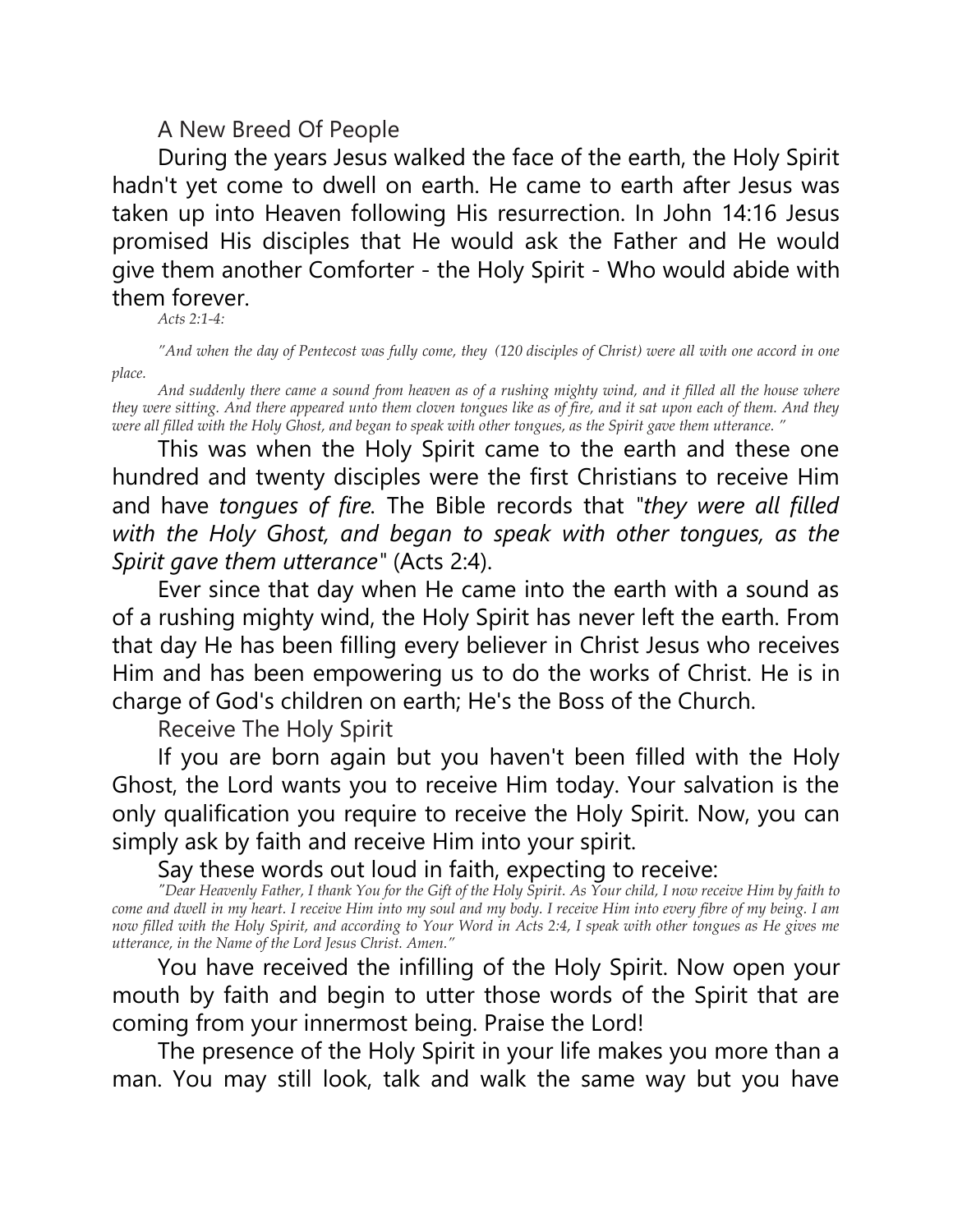#### A New Breed Of People

During the years Jesus walked the face of the earth, the Holy Spirit hadn't yet come to dwell on earth. He came to earth after Jesus was taken up into Heaven following His resurrection. In John 14:16 Jesus promised His disciples that He would ask the Father and He would give them another Comforter - the Holy Spirit - Who would abide with them forever.

*Acts 2:1-4:*

"And when the day of Pentecost was fully come, they (120 disciples of Christ) were all with one accord in one *place.*

And suddenly there came a sound from heaven as of a rushing mighty wind, and it filled all the house where they were sitting. And there appeared unto them cloven tongues like as of fire, and it sat upon each of them. And they were all filled with the Holy Ghost, and began to speak with other tongues, as the Spirit gave them utterance."

This was when the Holy Spirit came to the earth and these one hundred and twenty disciples were the first Christians to receive Him and have *tongues of fire.* The Bible records that *"they were all filled with the Holy Ghost, and began to speak with other tongues, as the Spirit gave them utterance"* (Acts 2:4).

Ever since that day when He came into the earth with a sound as of a rushing mighty wind, the Holy Spirit has never left the earth. From that day He has been filling every believer in Christ Jesus who receives Him and has been empowering us to do the works of Christ. He is in charge of God's children on earth; He's the Boss of the Church.

Receive The Holy Spirit

If you are born again but you haven't been filled with the Holy Ghost, the Lord wants you to receive Him today. Your salvation is the only qualification you require to receive the Holy Spirit. Now, you can simply ask by faith and receive Him into your spirit.

Say these words out loud in faith, expecting to receive:

"Dear Heavenly Father, I thank You for the Gift of the Holy Spirit. As Your child, I now receive Him by faith to come and dwell in my heart. I receive Him into my soul and my body. I receive Him into every fibre of my being. I am now filled with the Holy Spirit, and according to Your Word in Acts 2:4, I speak with other tongues as He gives me *utterance, in the Name of the Lord Jesus Christ. Amen."*

You have received the infilling of the Holy Spirit. Now open your mouth by faith and begin to utter those words of the Spirit that are coming from your innermost being. Praise the Lord!

The presence of the Holy Spirit in your life makes you more than a man. You may still look, talk and walk the same way but you have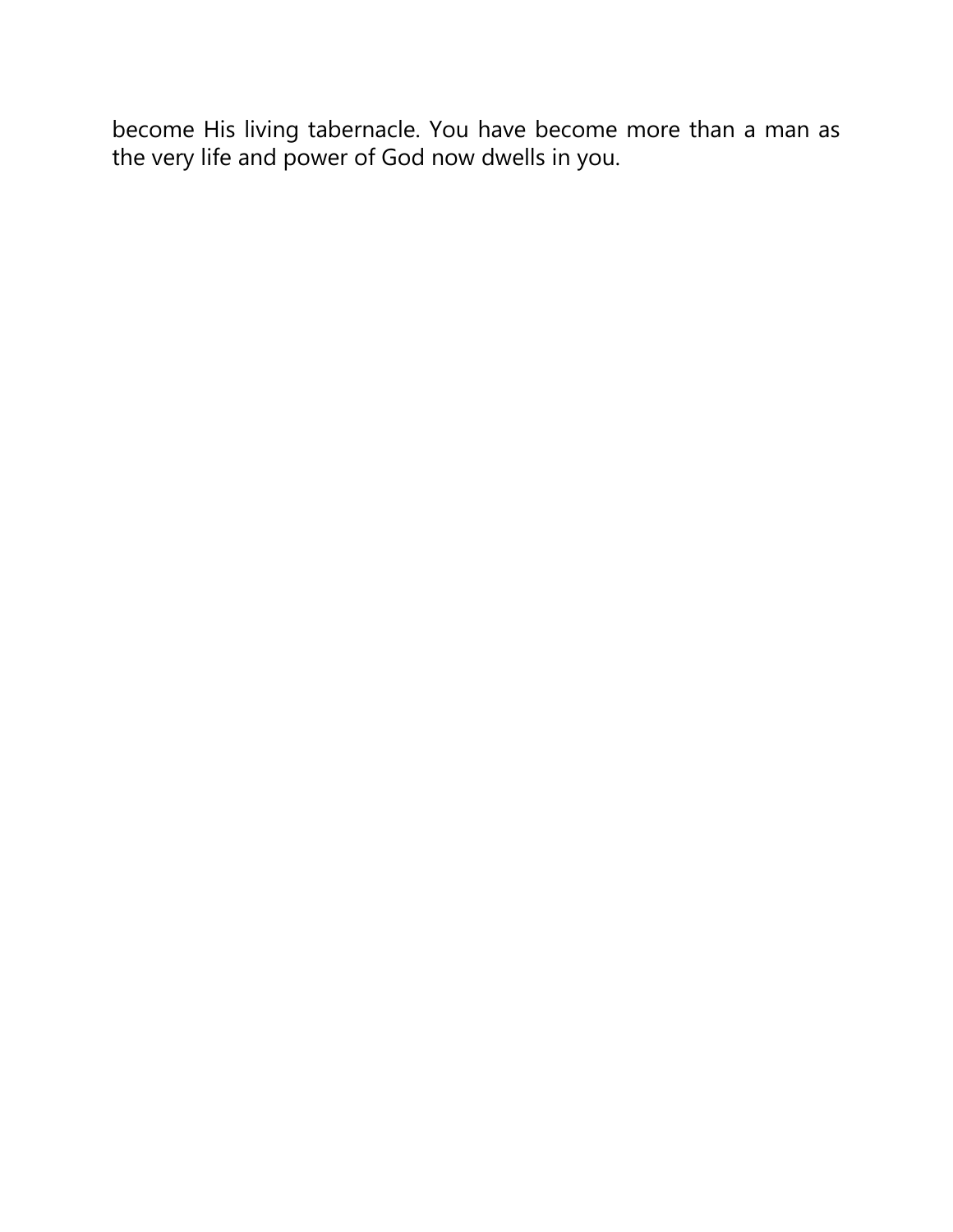become His living tabernacle. You have become more than a man as the very life and power of God now dwells in you.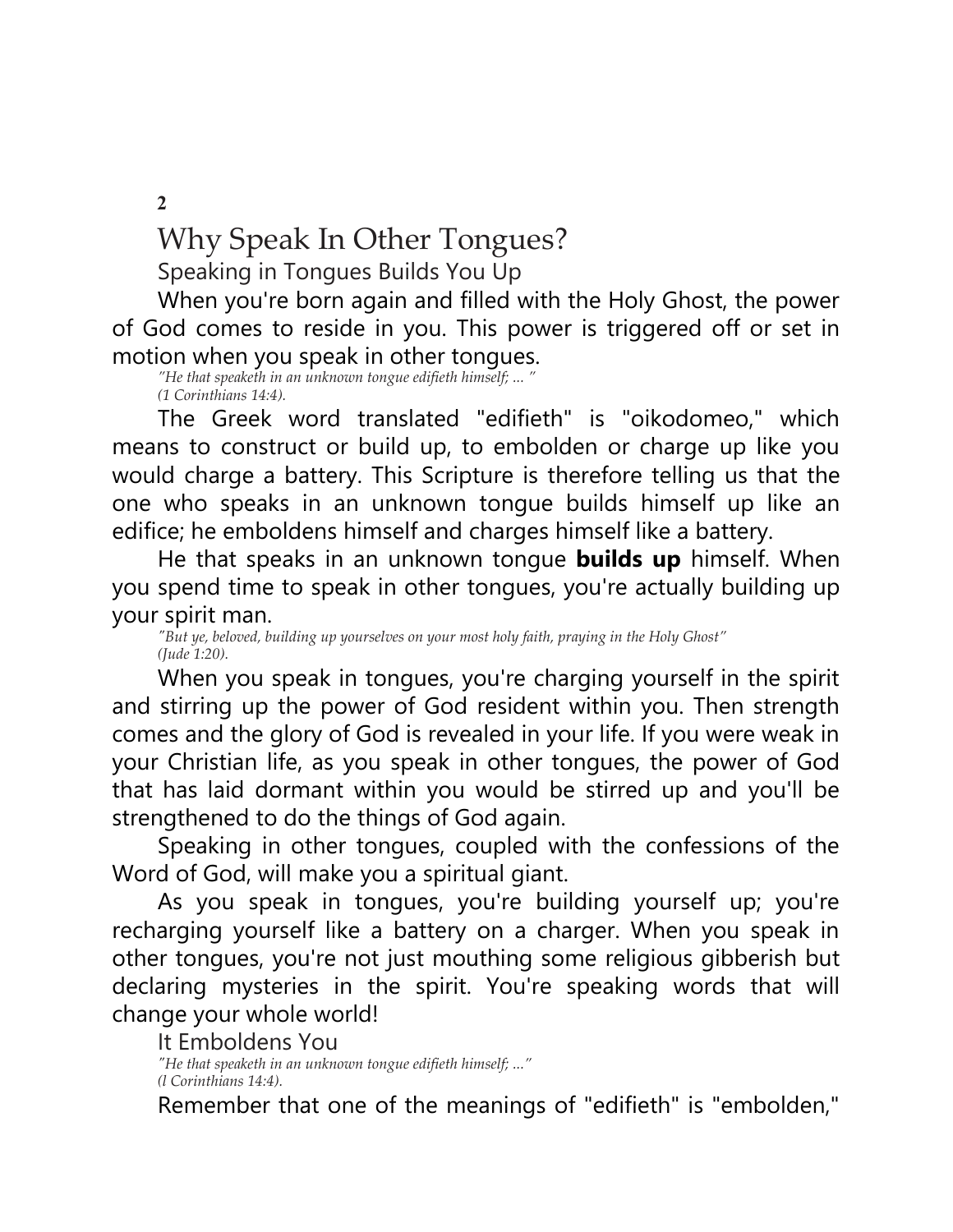**2**

### <span id="page-5-0"></span>Why Speak In Other Tongues?

Speaking in Tongues Builds You Up

When you're born again and filled with the Holy Ghost, the power of God comes to reside in you. This power is triggered off or set in motion when you speak in other tongues.

*"He that speaketh in an unknown tongue edifieth himself; ... " (1 Corinthians 14:4).*

The Greek word translated "edifieth" is "oikodomeo," which means to construct or build up, to embolden or charge up like you would charge a battery. This Scripture is therefore telling us that the one who speaks in an unknown tongue builds himself up like an edifice; he emboldens himself and charges himself like a battery.

He that speaks in an unknown tongue **builds up** himself. When you spend time to speak in other tongues, you're actually building up your spirit man.

*"But ye, beloved, building up yourselves on your most holy faith, praying in the Holy Ghost" (Jude 1:20).*

When you speak in tongues, you're charging yourself in the spirit and stirring up the power of God resident within you. Then strength comes and the glory of God is revealed in your life. If you were weak in your Christian life, as you speak in other tongues, the power of God that has laid dormant within you would be stirred up and you'll be strengthened to do the things of God again.

Speaking in other tongues, coupled with the confessions of the Word of God, will make you a spiritual giant.

As you speak in tongues, you're building yourself up; you're recharging yourself like a battery on a charger. When you speak in other tongues, you're not just mouthing some religious gibberish but declaring mysteries in the spirit. You're speaking words that will change your whole world!

It Emboldens You

*"He that speaketh in an unknown tongue edifieth himself; ..." (l Corinthians 14:4).*

Remember that one of the meanings of "edifieth" is "embolden,"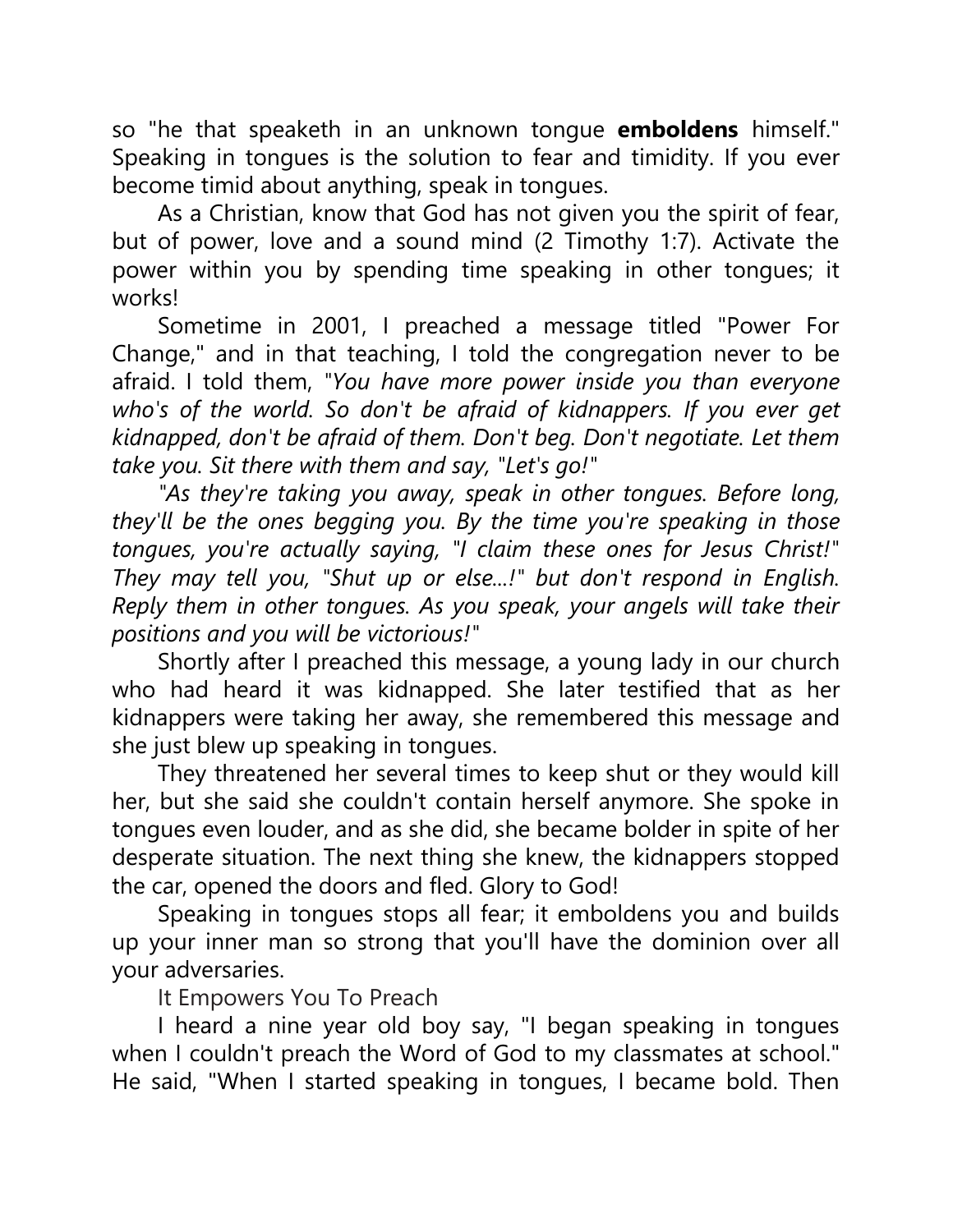so "he that speaketh in an unknown tongue **emboldens** himself." Speaking in tongues is the solution to fear and timidity. If you ever become timid about anything, speak in tongues.

As a Christian, know that God has not given you the spirit of fear, but of power, love and a sound mind (2 Timothy 1:7). Activate the power within you by spending time speaking in other tongues; it works!

Sometime in 2001, I preached a message titled "Power For Change," and in that teaching, I told the congregation never to be afraid. I told them, *"You have more power inside you than everyone who's of the world. So don't be afraid of kidnappers. If you ever get kidnapped, don't be afraid of them. Don't beg. Don't negotiate. Let them take you. Sit there with them and say, "Let's go!"*

*"As they're taking you away, speak in other tongues. Before long, they'll be the ones begging you. By the time you're speaking in those tongues, you're actually saying, "I claim these ones for Jesus Christ!" They may tell you, "Shut up or else...!" but don't respond in English. Reply them in other tongues. As you speak, your angels will take their positions and you will be victorious!"*

Shortly after I preached this message, a young lady in our church who had heard it was kidnapped. She later testified that as her kidnappers were taking her away, she remembered this message and she just blew up speaking in tongues.

They threatened her several times to keep shut or they would kill her, but she said she couldn't contain herself anymore. She spoke in tongues even louder, and as she did, she became bolder in spite of her desperate situation. The next thing she knew, the kidnappers stopped the car, opened the doors and fled. Glory to God!

Speaking in tongues stops all fear; it emboldens you and builds up your inner man so strong that you'll have the dominion over all your adversaries.

It Empowers You To Preach

I heard a nine year old boy say, "I began speaking in tongues when I couldn't preach the Word of God to my classmates at school." He said, "When I started speaking in tongues, I became bold. Then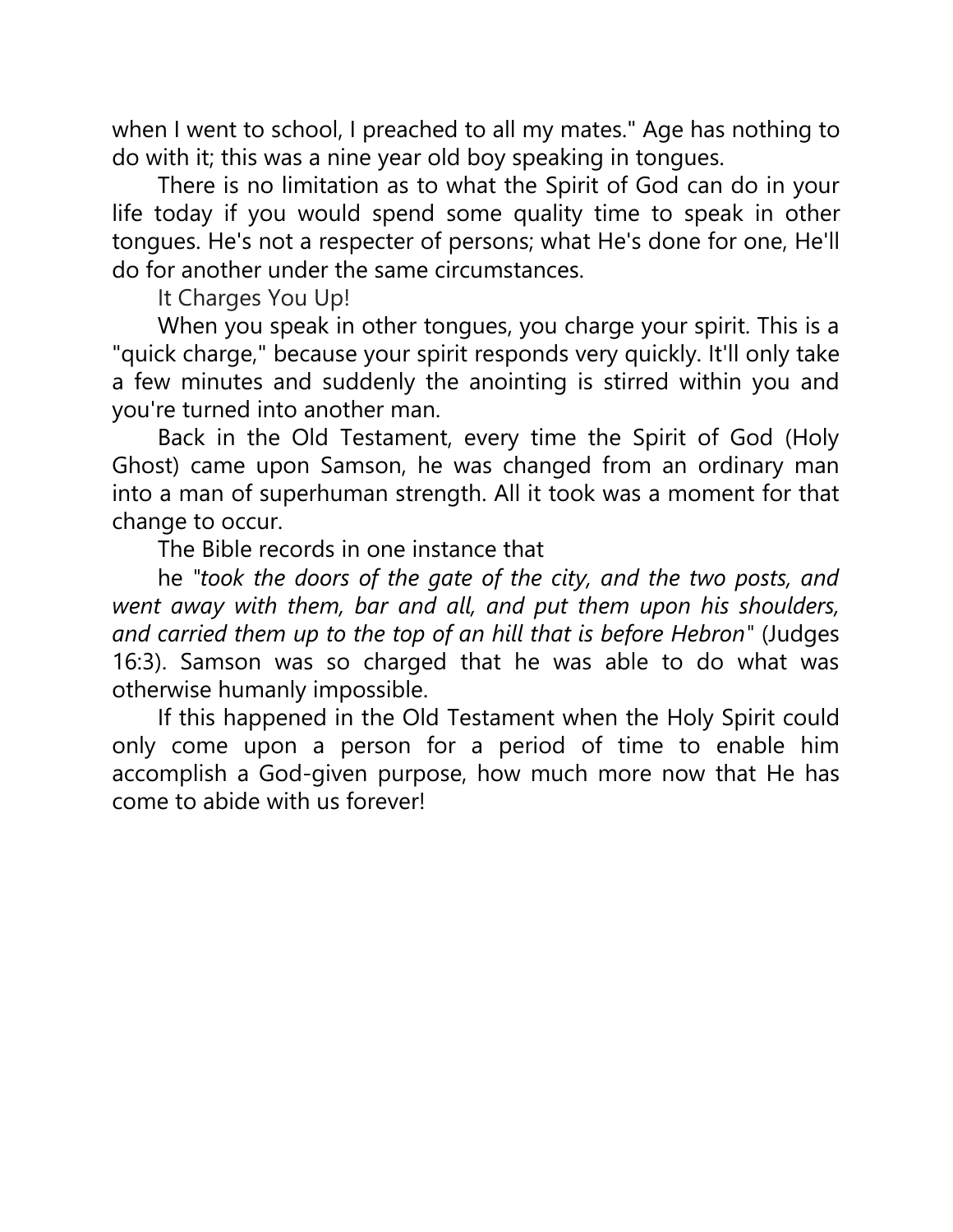when I went to school, I preached to all my mates." Age has nothing to do with it; this was a nine year old boy speaking in tongues.

There is no limitation as to what the Spirit of God can do in your life today if you would spend some quality time to speak in other tongues. He's not a respecter of persons; what He's done for one, He'll do for another under the same circumstances.

It Charges You Up!

When you speak in other tongues, you charge your spirit. This is a "quick charge," because your spirit responds very quickly. It'll only take a few minutes and suddenly the anointing is stirred within you and you're turned into another man.

Back in the Old Testament, every time the Spirit of God (Holy Ghost) came upon Samson, he was changed from an ordinary man into a man of superhuman strength. All it took was a moment for that change to occur.

The Bible records in one instance that

he *"took the doors of the gate of the city, and the two posts, and went away with them, bar and all, and put them upon his shoulders, and carried them up to the top of an hill that is before Hebron"* (Judges 16:3). Samson was so charged that he was able to do what was otherwise humanly impossible.

If this happened in the Old Testament when the Holy Spirit could only come upon a person for a period of time to enable him accomplish a God-given purpose, how much more now that He has come to abide with us forever!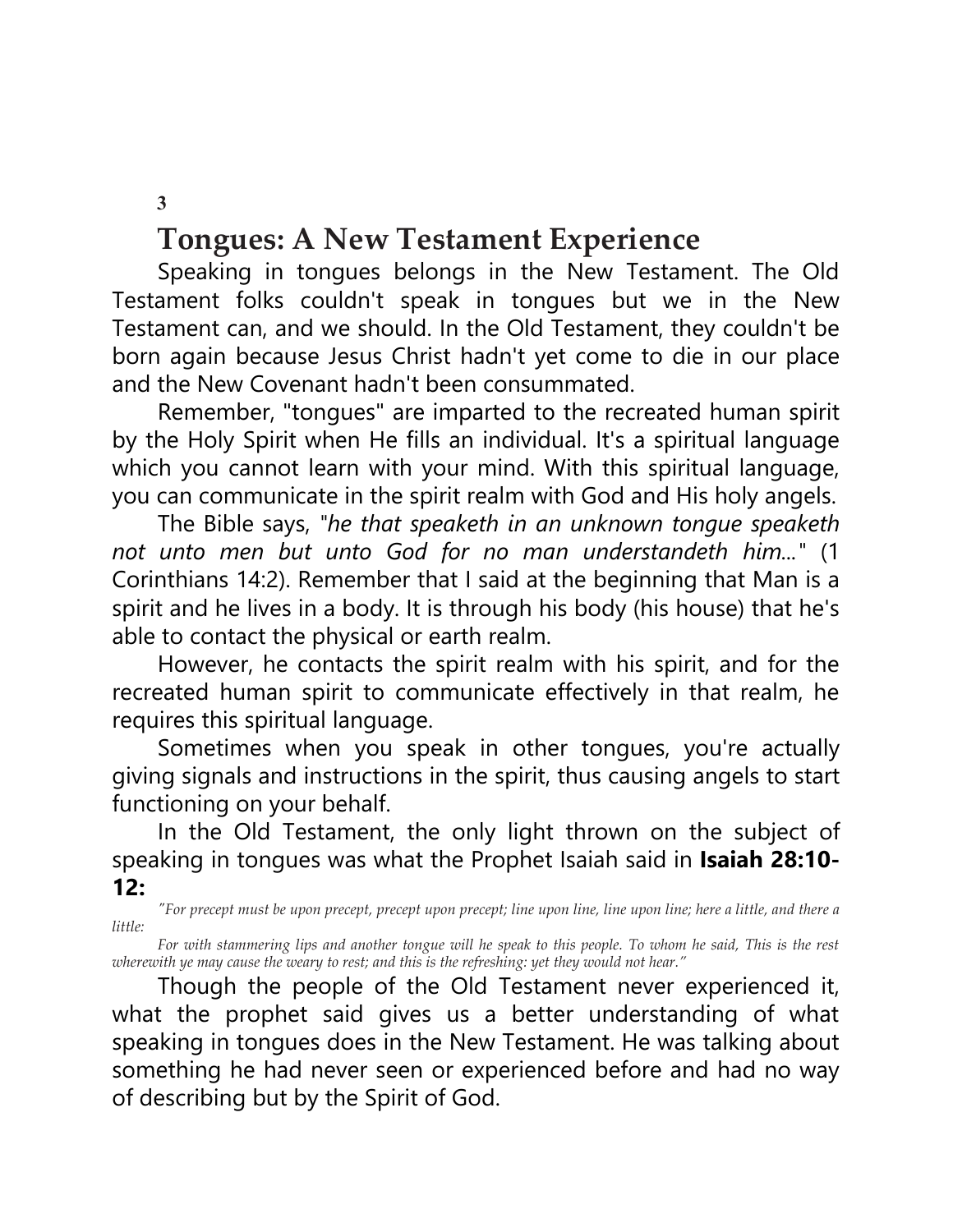**3**

### **Tongues: A New Testament Experience**

<span id="page-8-0"></span>Speaking in tongues belongs in the New Testament. The Old Testament folks couldn't speak in tongues but we in the New Testament can, and we should. In the Old Testament, they couldn't be born again because Jesus Christ hadn't yet come to die in our place and the New Covenant hadn't been consummated.

Remember, "tongues" are imparted to the recreated human spirit by the Holy Spirit when He fills an individual. It's a spiritual language which you cannot learn with your mind. With this spiritual language, you can communicate in the spirit realm with God and His holy angels.

The Bible says, *"he that speaketh in an unknown tongue speaketh not unto men but unto God for no man understandeth him..."* (1 Corinthians 14:2). Remember that I said at the beginning that Man is a spirit and he lives in a body. It is through his body (his house) that he's able to contact the physical or earth realm.

However, he contacts the spirit realm with his spirit, and for the recreated human spirit to communicate effectively in that realm, he requires this spiritual language.

Sometimes when you speak in other tongues, you're actually giving signals and instructions in the spirit, thus causing angels to start functioning on your behalf.

In the Old Testament, the only light thrown on the subject of speaking in tongues was what the Prophet Isaiah said in **Isaiah 28:10- 12:**

"For precept must be upon precept, precept upon precept; line upon line, line upon line; here a little, and there a *little:*

For with stammering lips and another tongue will he speak to this people. To whom he said, This is the rest *wherewith ye may cause the weary to rest; and this is the refreshing: yet they would not hear."*

Though the people of the Old Testament never experienced it, what the prophet said gives us a better understanding of what speaking in tongues does in the New Testament. He was talking about something he had never seen or experienced before and had no way of describing but by the Spirit of God.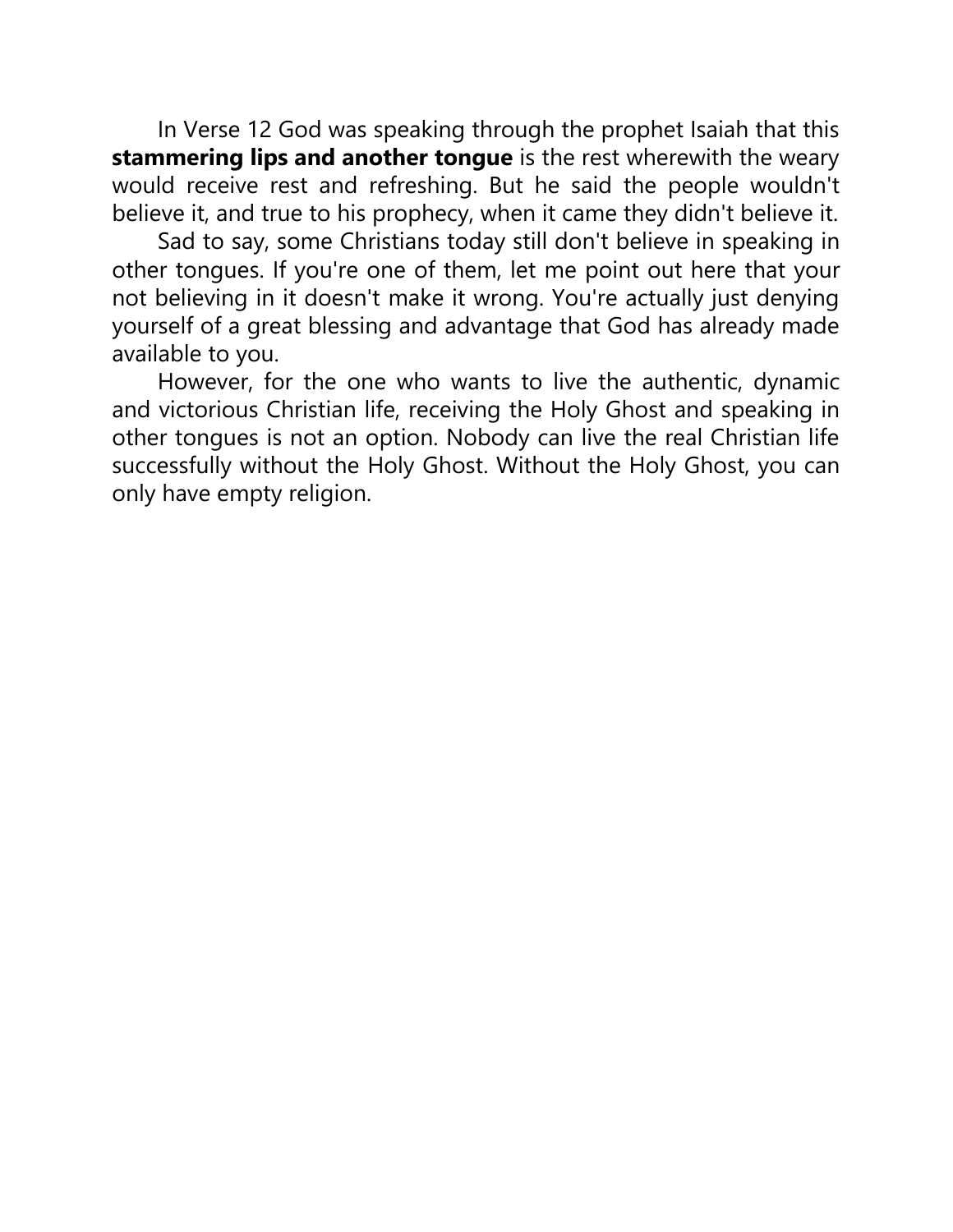In Verse 12 God was speaking through the prophet Isaiah that this **stammering lips and another tongue** is the rest wherewith the weary would receive rest and refreshing. But he said the people wouldn't believe it, and true to his prophecy, when it came they didn't believe it.

Sad to say, some Christians today still don't believe in speaking in other tongues. If you're one of them, let me point out here that your not believing in it doesn't make it wrong. You're actually just denying yourself of a great blessing and advantage that God has already made available to you.

However, for the one who wants to live the authentic, dynamic and victorious Christian life, receiving the Holy Ghost and speaking in other tongues is not an option. Nobody can live the real Christian life successfully without the Holy Ghost. Without the Holy Ghost, you can only have empty religion.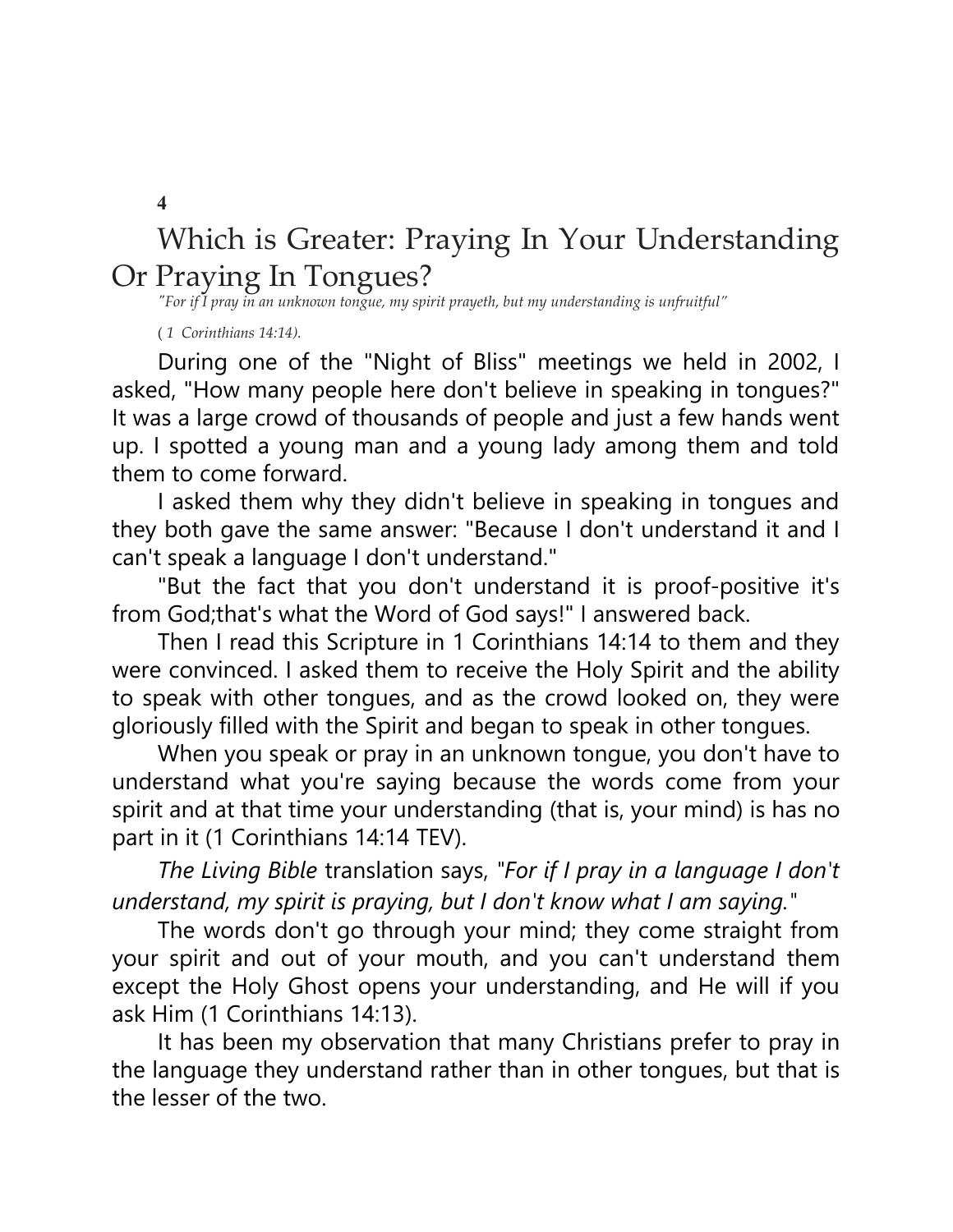**4**

## <span id="page-10-0"></span>Which is Greater: Praying In Your Understanding Or Praying In Tongues?

*"For if I pray in an unknown tongue, my spirit prayeth, but my understanding is unfruitful"*

( *1 Corinthians 14:14).*

During one of the "Night of Bliss" meetings we held in 2002, I asked, "How many people here don't believe in speaking in tongues?" It was a large crowd of thousands of people and just a few hands went up. I spotted a young man and a young lady among them and told them to come forward.

I asked them why they didn't believe in speaking in tongues and they both gave the same answer: "Because I don't understand it and I can't speak a language I don't understand."

"But the fact that you don't understand it is proof-positive it's from God;that's what the Word of God says!" I answered back.

Then I read this Scripture in 1 Corinthians 14:14 to them and they were convinced. I asked them to receive the Holy Spirit and the ability to speak with other tongues, and as the crowd looked on, they were gloriously filled with the Spirit and began to speak in other tongues.

When you speak or pray in an unknown tongue, you don't have to understand what you're saying because the words come from your spirit and at that time your understanding (that is, your mind) is has no part in it (1 Corinthians 14:14 TEV).

*The Living Bible* translation says, *"For if I pray in a language I don't understand, my spirit is praying, but I don't know what I am saying."*

The words don't go through your mind; they come straight from your spirit and out of your mouth, and you can't understand them except the Holy Ghost opens your understanding, and He will if you ask Him (1 Corinthians 14:13).

It has been my observation that many Christians prefer to pray in the language they understand rather than in other tongues, but that is the lesser of the two.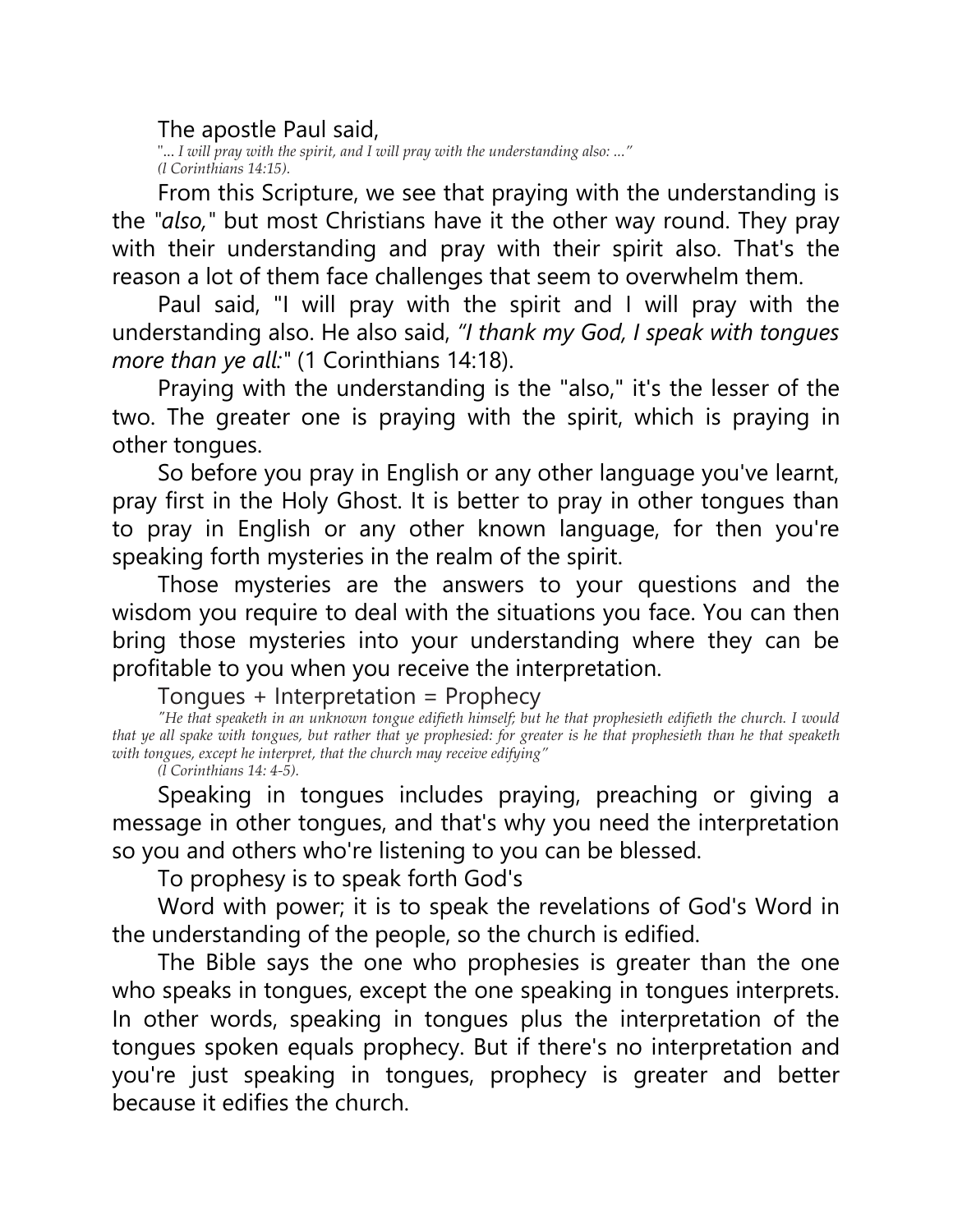The apostle Paul said,

"... *I will pray with the spirit, and I will pray with the understanding also: ..." (l Corinthians 14:15).*

From this Scripture, we see that praying with the understanding is the *"also,"* but most Christians have it the other way round. They pray with their understanding and pray with their spirit also. That's the reason a lot of them face challenges that seem to overwhelm them.

Paul said, "I will pray with the spirit and I will pray with the understanding also. He also said, *"I thank my God, I speak with tongues more than ye all:"* (1 Corinthians 14:18).

Praying with the understanding is the "also," it's the lesser of the two. The greater one is praying with the spirit, which is praying in other tongues.

So before you pray in English or any other language you've learnt, pray first in the Holy Ghost. It is better to pray in other tongues than to pray in English or any other known language, for then you're speaking forth mysteries in the realm of the spirit.

Those mysteries are the answers to your questions and the wisdom you require to deal with the situations you face. You can then bring those mysteries into your understanding where they can be profitable to you when you receive the interpretation.

Tongues + Interpretation = Prophecy

"He that speaketh in an unknown tongue edifieth himself; but he that prophesieth edifieth the church. I would that ye all spake with tongues, but rather that ye prophesied: for greater is he that prophesieth than he that speaketh *with tongues, except he interpret, that the church may receive edifying"*

*(l Corinthians 14: 4-5).*

Speaking in tongues includes praying, preaching or giving a message in other tongues, and that's why you need the interpretation so you and others who're listening to you can be blessed.

To prophesy is to speak forth God's

Word with power; it is to speak the revelations of God's Word in the understanding of the people, so the church is edified.

The Bible says the one who prophesies is greater than the one who speaks in tongues, except the one speaking in tongues interprets. In other words, speaking in tongues plus the interpretation of the tongues spoken equals prophecy. But if there's no interpretation and you're just speaking in tongues, prophecy is greater and better because it edifies the church.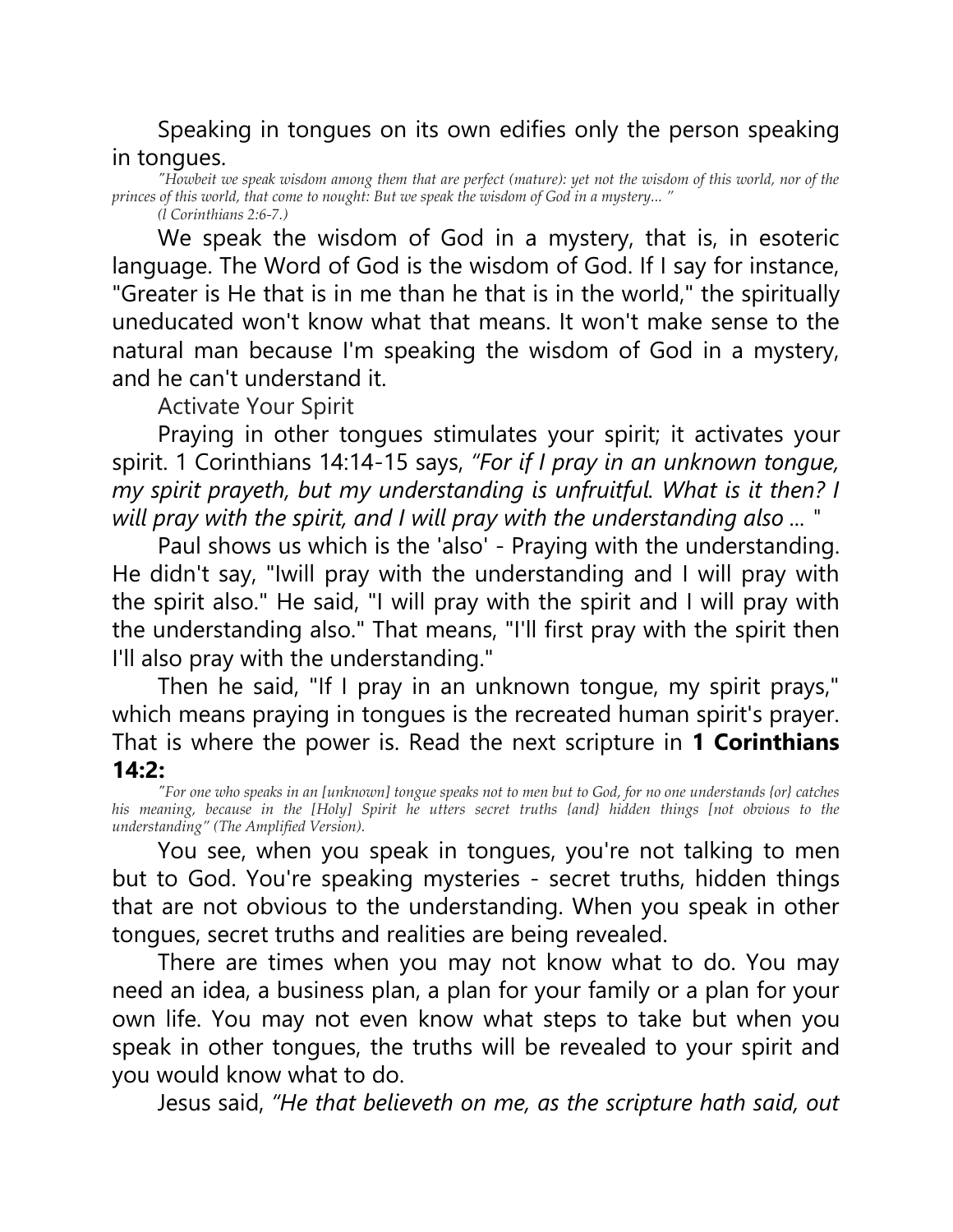Speaking in tongues on its own edifies only the person speaking in tongues.

"Howbeit we speak wisdom among them that are perfect (mature): yet not the wisdom of this world, nor of the princes of this world, that come to nought: But we speak the wisdom of God in a mystery... " *(l Corinthians 2:6-7.)*

We speak the wisdom of God in a mystery, that is, in esoteric language. The Word of God is the wisdom of God. If I say for instance, "Greater is He that is in me than he that is in the world," the spiritually uneducated won't know what that means. It won't make sense to the natural man because I'm speaking the wisdom of God in a mystery, and he can't understand it.

Activate Your Spirit

Praying in other tongues stimulates your spirit; it activates your spirit. 1 Corinthians 14:14-15 says, *"For if I pray in an unknown tongue, my spirit prayeth, but my understanding is unfruitful. What is it then? I will pray with the spirit, and I will pray with the understanding also ... "*

Paul shows us which is the 'also' - Praying with the understanding. He didn't say, "Iwill pray with the understanding and I will pray with the spirit also." He said, "I will pray with the spirit and I will pray with the understanding also." That means, "I'll first pray with the spirit then I'll also pray with the understanding."

Then he said, "If I pray in an unknown tongue, my spirit prays," which means praying in tongues is the recreated human spirit's prayer. That is where the power is. Read the next scripture in **1 Corinthians 14:2:**

"For one who speaks in an [unknown] tongue speaks not to men but to God, for no one understands {or} catches his meaning, because in the [Holy] Spirit he utters secret truths (and) hidden things [not obvious to the *understanding" (The Amplified Version).*

You see, when you speak in tongues, you're not talking to men but to God. You're speaking mysteries - secret truths, hidden things that are not obvious to the understanding. When you speak in other tongues, secret truths and realities are being revealed.

There are times when you may not know what to do. You may need an idea, a business plan, a plan for your family or a plan for your own life. You may not even know what steps to take but when you speak in other tongues, the truths will be revealed to your spirit and you would know what to do.

Jesus said, *"He that believeth on me, as the scripture hath said, out*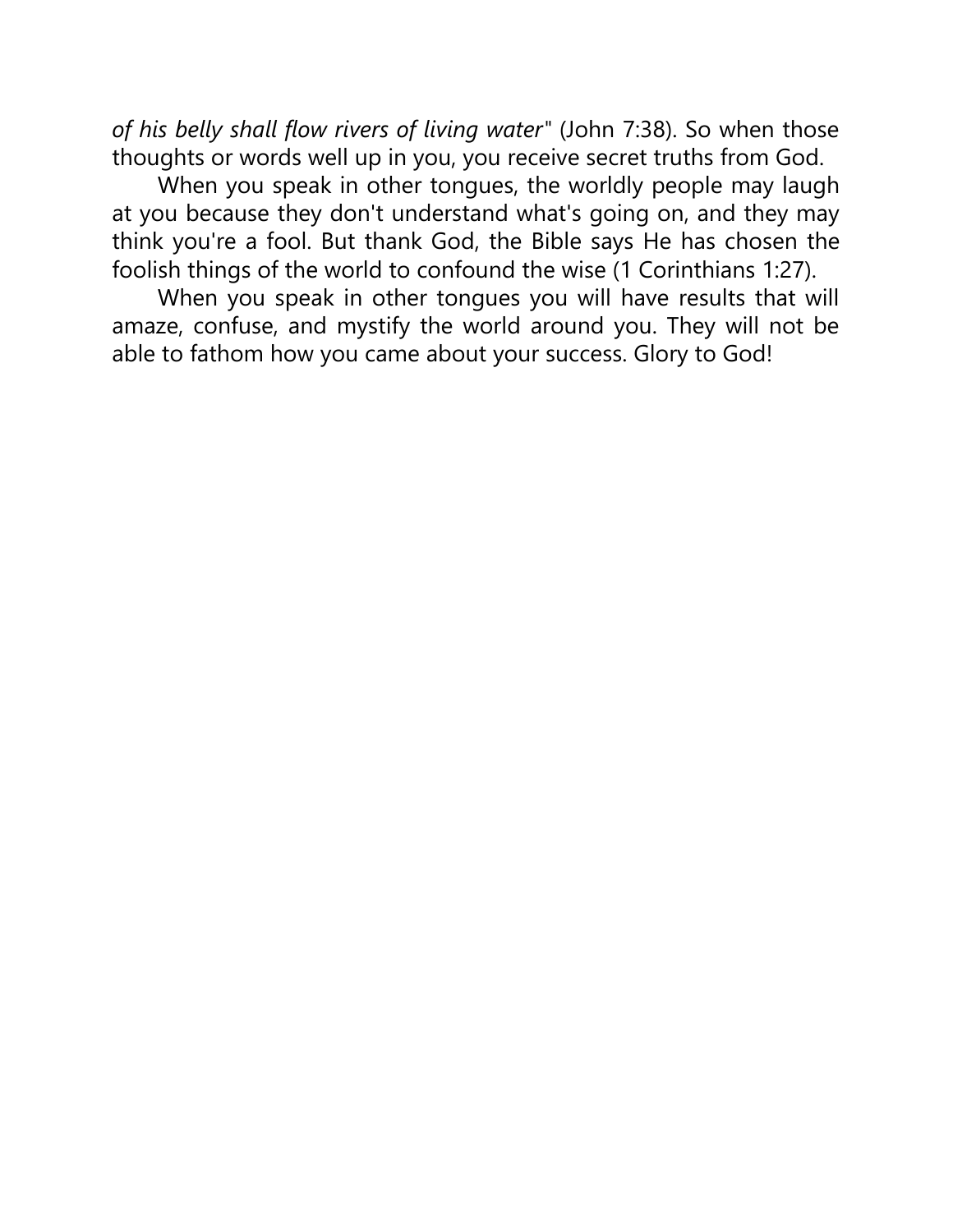*of his belly shall flow rivers of living water"* (John 7:38). So when those thoughts or words well up in you, you receive secret truths from God.

When you speak in other tongues, the worldly people may laugh at you because they don't understand what's going on, and they may think you're a fool. But thank God, the Bible says He has chosen the foolish things of the world to confound the wise (1 Corinthians 1:27).

When you speak in other tongues you will have results that will amaze, confuse, and mystify the world around you. They will not be able to fathom how you came about your success. Glory to God!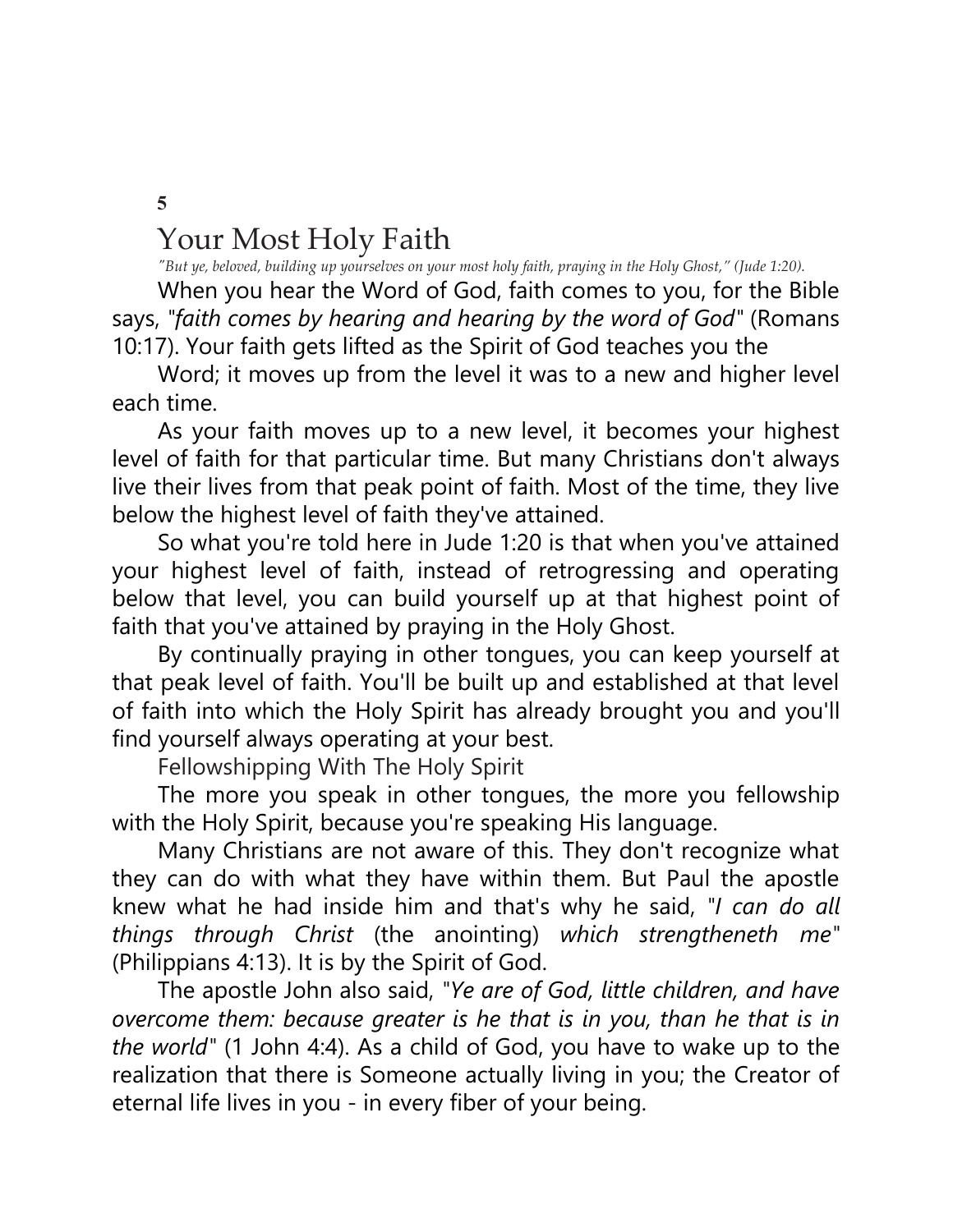# <span id="page-14-0"></span>Your Most Holy Faith

"But ye, beloved, building up yourselves on your most holy faith, praying in the Holy Ghost," (Jude 1:20).

When you hear the Word of God, faith comes to you, for the Bible says, *"faith comes by hearing and hearing by the word of God"* (Romans 10:17). Your faith gets lifted as the Spirit of God teaches you the

Word; it moves up from the level it was to a new and higher level each time.

As your faith moves up to a new level, it becomes your highest level of faith for that particular time. But many Christians don't always live their lives from that peak point of faith. Most of the time, they live below the highest level of faith they've attained.

So what you're told here in Jude 1:20 is that when you've attained your highest level of faith, instead of retrogressing and operating below that level, you can build yourself up at that highest point of faith that you've attained by praying in the Holy Ghost.

By continually praying in other tongues, you can keep yourself at that peak level of faith. You'll be built up and established at that level of faith into which the Holy Spirit has already brought you and you'll find yourself always operating at your best.

Fellowshipping With The Holy Spirit

The more you speak in other tongues, the more you fellowship with the Holy Spirit, because you're speaking His language.

Many Christians are not aware of this. They don't recognize what they can do with what they have within them. But Paul the apostle knew what he had inside him and that's why he said, *"I can do all things through Christ* (the anointing) *which strengtheneth me"* (Philippians 4:13). It is by the Spirit of God.

The apostle John also said, *"Ye are of God, little children, and have overcome them: because greater is he that is in you, than he that is in the world"* (1 John 4:4). As a child of God, you have to wake up to the realization that there is Someone actually living in you; the Creator of eternal life lives in you - in every fiber of your being.

**5**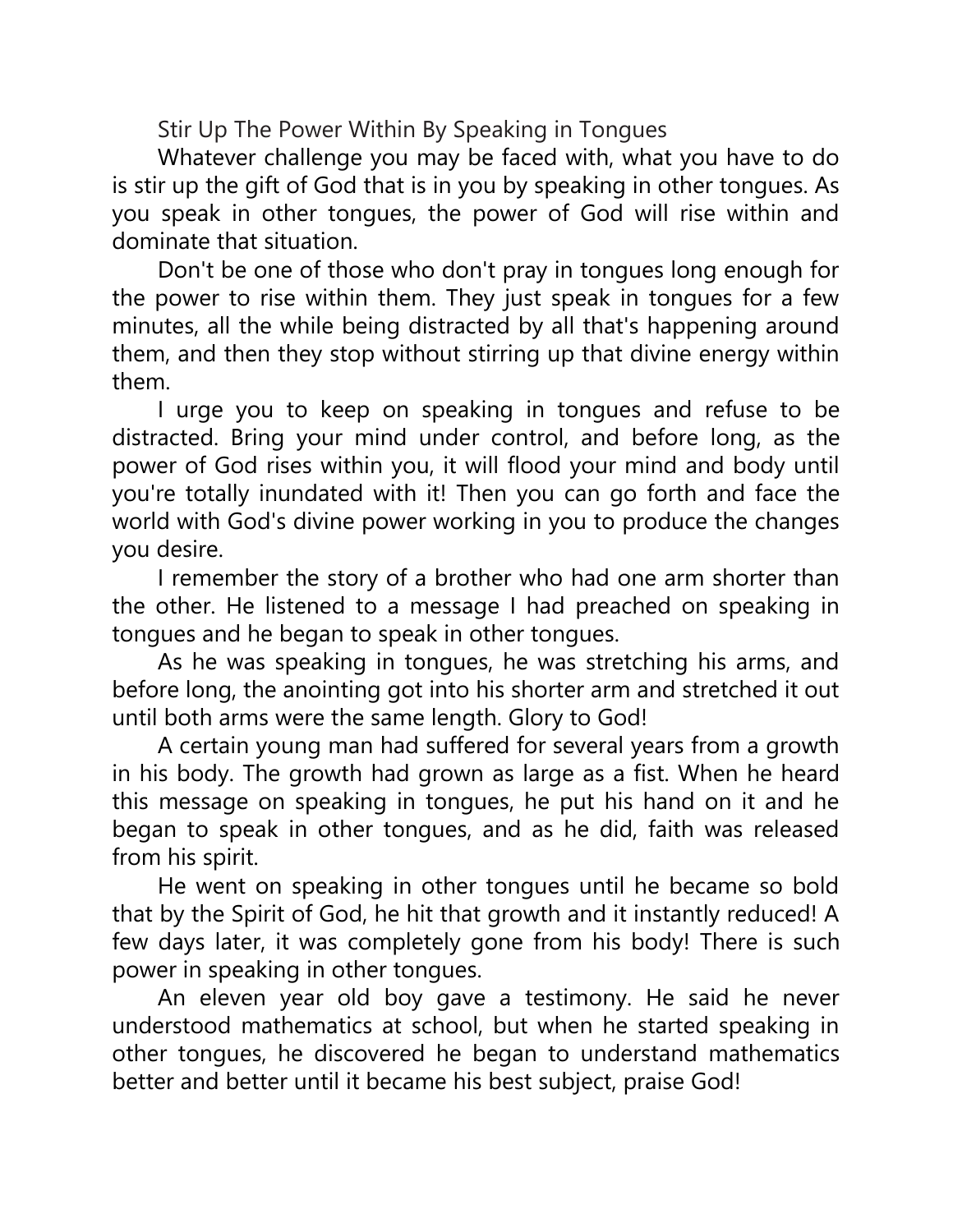Stir Up The Power Within By Speaking in Tongues

Whatever challenge you may be faced with, what you have to do is stir up the gift of God that is in you by speaking in other tongues. As you speak in other tongues, the power of God will rise within and dominate that situation.

Don't be one of those who don't pray in tongues long enough for the power to rise within them. They just speak in tongues for a few minutes, all the while being distracted by all that's happening around them, and then they stop without stirring up that divine energy within them.

I urge you to keep on speaking in tongues and refuse to be distracted. Bring your mind under control, and before long, as the power of God rises within you, it will flood your mind and body until you're totally inundated with it! Then you can go forth and face the world with God's divine power working in you to produce the changes you desire.

I remember the story of a brother who had one arm shorter than the other. He listened to a message I had preached on speaking in tongues and he began to speak in other tongues.

As he was speaking in tongues, he was stretching his arms, and before long, the anointing got into his shorter arm and stretched it out until both arms were the same length. Glory to God!

A certain young man had suffered for several years from a growth in his body. The growth had grown as large as a fist. When he heard this message on speaking in tongues, he put his hand on it and he began to speak in other tongues, and as he did, faith was released from his spirit.

He went on speaking in other tongues until he became so bold that by the Spirit of God, he hit that growth and it instantly reduced! A few days later, it was completely gone from his body! There is such power in speaking in other tongues.

An eleven year old boy gave a testimony. He said he never understood mathematics at school, but when he started speaking in other tongues, he discovered he began to understand mathematics better and better until it became his best subject, praise God!